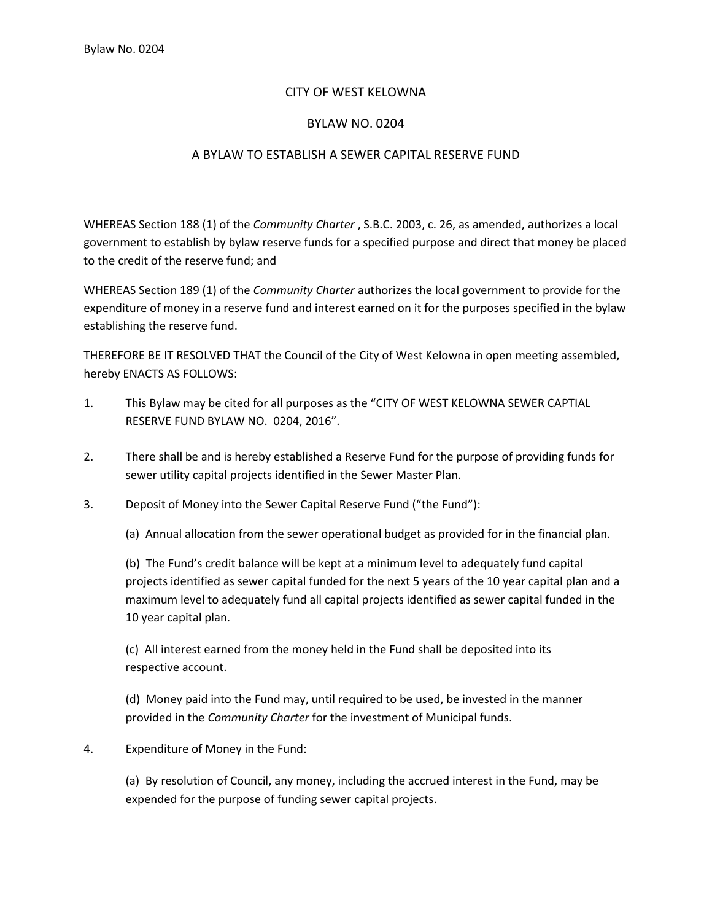## CITY OF WEST KELOWNA

## BYLAW NO. 0204

## A BYLAW TO ESTABLISH A SEWER CAPITAL RESERVE FUND

WHEREAS Section 188 (1) of the *Community Charter* , S.B.C. 2003, c. 26, as amended, authorizes a local government to establish by bylaw reserve funds for a specified purpose and direct that money be placed to the credit of the reserve fund; and

WHEREAS Section 189 (1) of the *Community Charter* authorizes the local government to provide for the expenditure of money in a reserve fund and interest earned on it for the purposes specified in the bylaw establishing the reserve fund.

THEREFORE BE IT RESOLVED THAT the Council of the City of West Kelowna in open meeting assembled, hereby ENACTS AS FOLLOWS:

- 1. This Bylaw may be cited for all purposes as the "CITY OF WEST KELOWNA SEWER CAPTIAL RESERVE FUND BYLAW NO. 0204, 2016".
- 2. There shall be and is hereby established a Reserve Fund for the purpose of providing funds for sewer utility capital projects identified in the Sewer Master Plan.
- 3. Deposit of Money into the Sewer Capital Reserve Fund ("the Fund"):

(a) Annual allocation from the sewer operational budget as provided for in the financial plan.

(b) The Fund's credit balance will be kept at a minimum level to adequately fund capital projects identified as sewer capital funded for the next 5 years of the 10 year capital plan and a maximum level to adequately fund all capital projects identified as sewer capital funded in the 10 year capital plan.

(c) All interest earned from the money held in the Fund shall be deposited into its respective account.

(d) Money paid into the Fund may, until required to be used, be invested in the manner provided in the *Community Charter* for the investment of Municipal funds.

4. Expenditure of Money in the Fund:

(a) By resolution of Council, any money, including the accrued interest in the Fund, may be expended for the purpose of funding sewer capital projects.